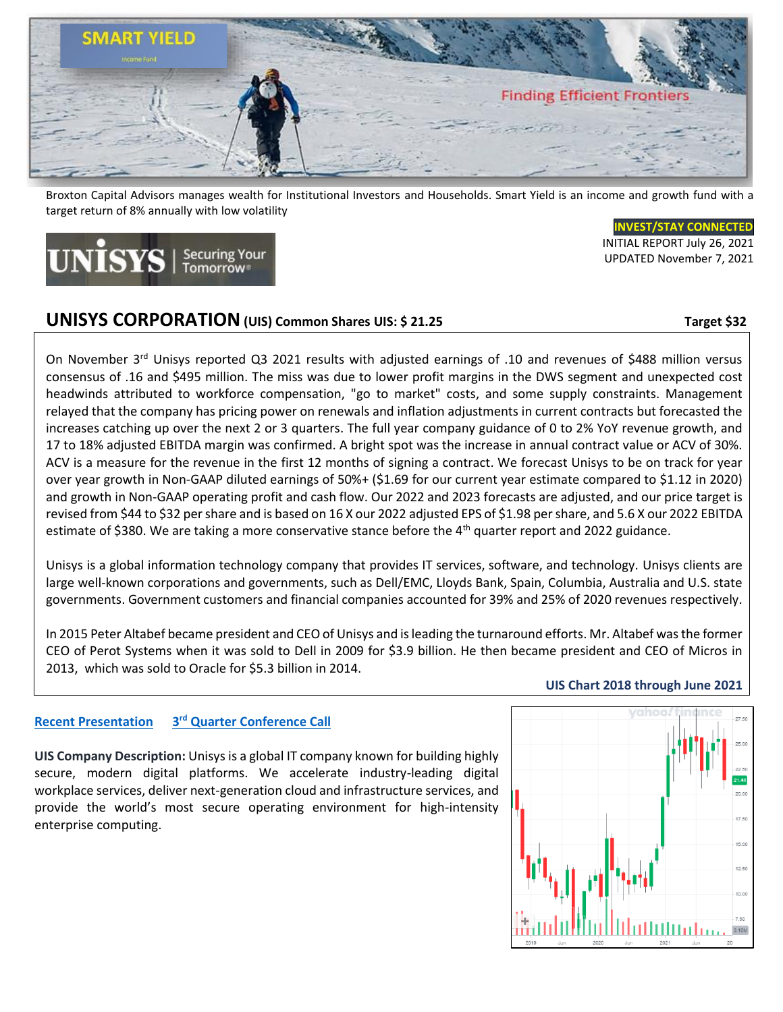

Broxton Capital Advisors manages wealth for Institutional Investors and Households. Smart Yield is an income and growth fund with a target return of 8% annually with low volatility

### **[INVEST/STAY](https://www.broxtoncapital.com/contact) CONNECTED**

 INITIAL REPORT July 26, 2021 UPDATED November 7, 2021

# **UNISYS CORPORATION** (UIS) Common Shares UIS: \$ 21.25 Target \$32

 $JNISYS$  | Securing Your

On November 3<sup>rd</sup> Unisys reported Q3 2021 results with adjusted earnings of .10 and revenues of \$488 million versus consensus of .16 and \$495 million. The miss was due to lower profit margins in the DWS segment and unexpected cost headwinds attributed to workforce compensation, "go to market" costs, and some supply constraints. Management relayed that the company has pricing power on renewals and inflation adjustments in current contracts but forecasted the increases catching up over the next 2 or 3 quarters. The full year company guidance of 0 to 2% YoY revenue growth, and 17 to 18% adjusted EBITDA margin was confirmed. A bright spot was the increase in annual contract value or ACV of 30%. ACV is a measure for the revenue in the first 12 months of signing a contract. We forecast Unisys to be on track for year over year growth in Non-GAAP diluted earnings of 50%+ (\$1.69 for our current year estimate compared to \$1.12 in 2020) and growth in Non-GAAP operating profit and cash flow. Our 2022 and 2023 forecasts are adjusted, and our price target is revised from \$44 to \$32 per share and is based on 16 X our 2022 adjusted EPS of \$1.98 per share, and 5.6 X our 2022 EBITDA estimate of \$380. We are taking a more conservative stance before the 4<sup>th</sup> quarter report and 2022 guidance.

Unisys is a global information technology company that provides IT services, software, and technology. Unisys clients are large well-known corporations and governments, such as Dell/EMC, Lloyds Bank, Spain, Columbia, Australia and U.S. state governments. Government customers and financial companies accounted for 39% and 25% of 2020 revenues respectively.

In 2015 Peter Altabef became president and CEO of Unisys and is leading the turnaround efforts. Mr. Altabef wasthe former CEO of Perot Systems when it was sold to Dell in 2009 for \$3.9 billion. He then became president and CEO of Micros in 2013, which was sold to Oracle for \$5.3 billion in 2014.

# 15.0  $12.50$

 **UIS Chart 2018 through June 2021**

### **[Recent Presentation](https://www.unisys.com/siteassets/investor-relations/earnings-files/2021/2021-3q-financial-release-webcast.pdf) 3 rd [Quarter Conference Call](https://seekingalpha.com/article/4464891-unisys-corporation-uis-ceo-peter-altabef-on-q3-2021-results-earnings-call-transcript)**

**UIS Company Description:** Unisys is a global IT company known for building highly secure, modern digital platforms. We accelerate industry-leading digital workplace services, deliver next-generation cloud and infrastructure services, and provide the world's most secure operating environment for high-intensity enterprise computing.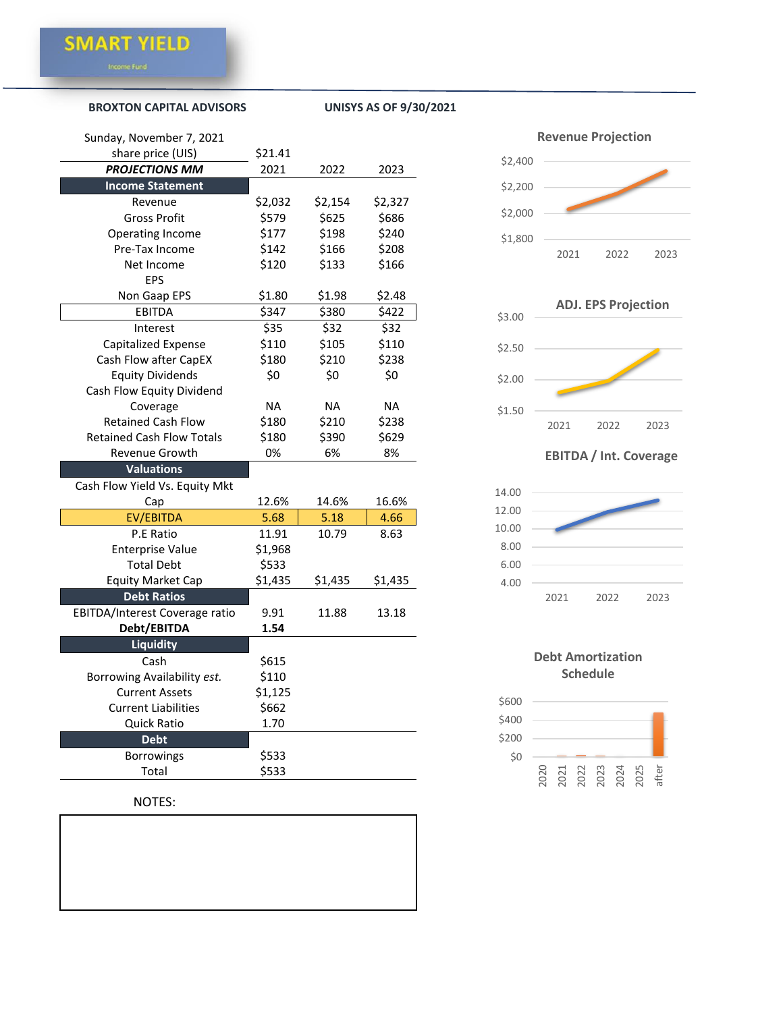### **[BROXTON CAPITAL ADVISORS](https://www.broxtoncapital.com/contact) UNISYS AS OF 9/30/2021**

| Sunday, November 7, 2021         |           |           |           |
|----------------------------------|-----------|-----------|-----------|
| share price (UIS)                | \$21.41   |           |           |
| <b>PROJECTIONS MM</b>            | 2021      | 2022      | 2023      |
| <b>Income Statement</b>          |           |           |           |
| Revenue                          | \$2,032   | \$2,154   | \$2,327   |
| <b>Gross Profit</b>              | \$579     | \$625     | \$686     |
| Operating Income                 | \$177     | \$198     | \$240     |
| Pre-Tax Income                   | \$142     | \$166     | \$208     |
| Net Income                       | \$120     | \$133     | \$166     |
| <b>EPS</b>                       |           |           |           |
| Non Gaap EPS                     | \$1.80    | \$1.98    | \$2.48    |
| <b>EBITDA</b>                    | \$347     | \$380     | \$422     |
| Interest                         | \$35      | \$32      | \$32      |
| <b>Capitalized Expense</b>       | \$110     | \$105     | \$110     |
| Cash Flow after CapEX            | \$180     | \$210     | \$238     |
| <b>Equity Dividends</b>          | \$0       | \$0       | \$0       |
| Cash Flow Equity Dividend        |           |           |           |
| Coverage                         | <b>NA</b> | <b>NA</b> | <b>NA</b> |
| <b>Retained Cash Flow</b>        | \$180     | \$210     | \$238     |
| <b>Retained Cash Flow Totals</b> | \$180     | \$390     | \$629     |
| <b>Revenue Growth</b>            | 0%        | 6%        | 8%        |
| <b>Valuations</b>                |           |           |           |
| Cash Flow Yield Vs. Equity Mkt   |           |           |           |
| Cap                              | 12.6%     | 14.6%     | 16.6%     |
| EV/EBITDA                        | 5.68      | 5.18      | 4.66      |
| P.E Ratio                        | 11.91     | 10.79     | 8.63      |
| <b>Enterprise Value</b>          | \$1,968   |           |           |
| <b>Total Debt</b>                | \$533     |           |           |
| <b>Equity Market Cap</b>         | \$1,435   | \$1,435   | \$1,435   |
| <b>Debt Ratios</b>               |           |           |           |
| EBITDA/Interest Coverage ratio   | 9.91      | 11.88     | 13.18     |
| Debt/EBITDA                      | 1.54      |           |           |
| <b>Liquidity</b>                 |           |           |           |
| Cash                             | \$615     |           |           |
| Borrowing Availability est.      | \$110     |           |           |
| <b>Current Assets</b>            | \$1,125   |           |           |
| <b>Current Liabilities</b>       | \$662     |           |           |
| <b>Quick Ratio</b>               | 1.70      |           |           |
| <b>Debt</b>                      |           |           |           |
| <b>Borrowings</b>                | \$533     |           |           |
| Total                            | \$533     |           |           |

## NOTES:





### **EBITDA / Int. Coverage**